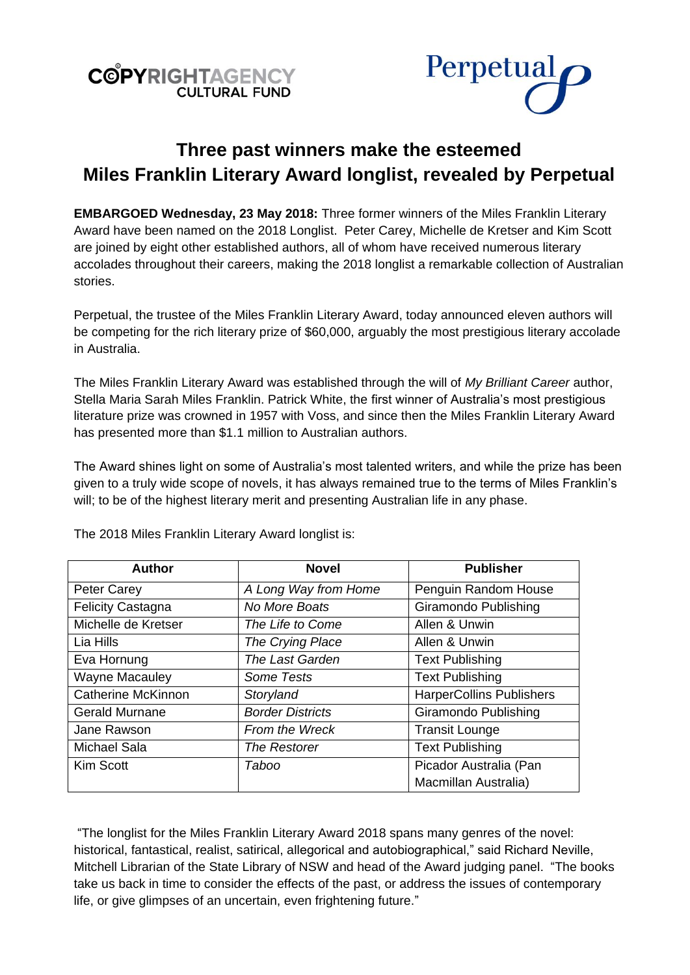



# **Three past winners make the esteemed Miles Franklin Literary Award longlist, revealed by Perpetual**

**EMBARGOED Wednesday, 23 May 2018:** Three former winners of the Miles Franklin Literary Award have been named on the 2018 Longlist. Peter Carey, Michelle de Kretser and Kim Scott are joined by eight other established authors, all of whom have received numerous literary accolades throughout their careers, making the 2018 longlist a remarkable collection of Australian stories.

Perpetual, the trustee of the Miles Franklin Literary Award, today announced eleven authors will be competing for the rich literary prize of \$60,000, arguably the most prestigious literary accolade in Australia.

The Miles Franklin Literary Award was established through the will of *My Brilliant Career* author, Stella Maria Sarah Miles Franklin. Patrick White, the first winner of Australia's most prestigious literature prize was crowned in 1957 with Voss, and since then the Miles Franklin Literary Award has presented more than \$1.1 million to Australian authors.

The Award shines light on some of Australia's most talented writers, and while the prize has been given to a truly wide scope of novels, it has always remained true to the terms of Miles Franklin's will; to be of the highest literary merit and presenting Australian life in any phase.

| <b>Author</b>             | <b>Novel</b>            | <b>Publisher</b>                |
|---------------------------|-------------------------|---------------------------------|
| <b>Peter Carey</b>        | A Long Way from Home    | Penguin Random House            |
| <b>Felicity Castagna</b>  | No More Boats           | Giramondo Publishing            |
| Michelle de Kretser       | The Life to Come        | Allen & Unwin                   |
| Lia Hills                 | The Crying Place        | Allen & Unwin                   |
| Eva Hornung               | <b>The Last Garden</b>  | <b>Text Publishing</b>          |
| <b>Wayne Macauley</b>     | Some Tests              | <b>Text Publishing</b>          |
| <b>Catherine McKinnon</b> | Storyland               | <b>HarperCollins Publishers</b> |
| <b>Gerald Murnane</b>     | <b>Border Districts</b> | Giramondo Publishing            |
| Jane Rawson               | From the Wreck          | <b>Transit Lounge</b>           |
| Michael Sala              | The Restorer            | <b>Text Publishing</b>          |
| Kim Scott                 | Taboo                   | Picador Australia (Pan          |
|                           |                         | Macmillan Australia)            |

The 2018 Miles Franklin Literary Award longlist is:

"The longlist for the Miles Franklin Literary Award 2018 spans many genres of the novel: historical, fantastical, realist, satirical, allegorical and autobiographical," said Richard Neville, Mitchell Librarian of the State Library of NSW and head of the Award judging panel. "The books take us back in time to consider the effects of the past, or address the issues of contemporary life, or give glimpses of an uncertain, even frightening future."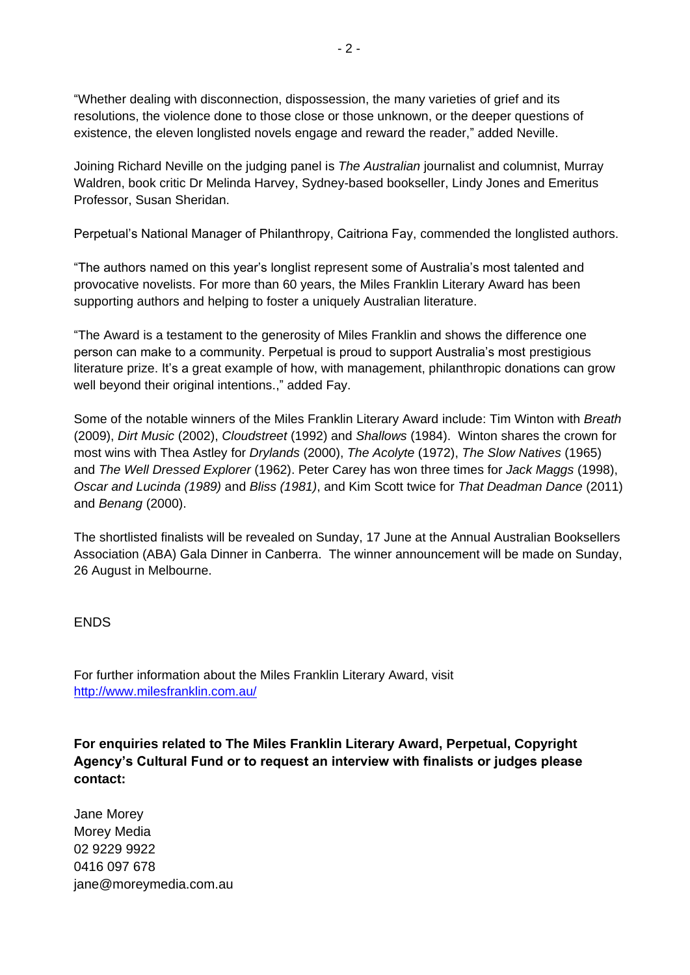"Whether dealing with disconnection, dispossession, the many varieties of grief and its resolutions, the violence done to those close or those unknown, or the deeper questions of existence, the eleven longlisted novels engage and reward the reader," added Neville.

Joining Richard Neville on the judging panel is *The Australian* journalist and columnist, Murray Waldren, book critic Dr Melinda Harvey, Sydney-based bookseller, Lindy Jones and Emeritus Professor, Susan Sheridan.

Perpetual's National Manager of Philanthropy, Caitriona Fay, commended the longlisted authors.

"The authors named on this year's longlist represent some of Australia's most talented and provocative novelists. For more than 60 years, the Miles Franklin Literary Award has been supporting authors and helping to foster a uniquely Australian literature.

"The Award is a testament to the generosity of Miles Franklin and shows the difference one person can make to a community. Perpetual is proud to support Australia's most prestigious literature prize. It's a great example of how, with management, philanthropic donations can grow well beyond their original intentions.," added Fay.

Some of the notable winners of the Miles Franklin Literary Award include: Tim Winton with *Breath* (2009), *Dirt Music* (2002), *Cloudstreet* (1992) and *Shallows* (1984). Winton shares the crown for most wins with Thea Astley for *Drylands* (2000), *The Acolyte* (1972), *The Slow Natives* (1965) and *The Well Dressed Explorer* (1962). Peter Carey has won three times for *Jack Maggs* (1998), *Oscar and Lucinda (1989)* and *Bliss (1981)*, and Kim Scott twice for *That Deadman Dance* (2011) and *Benang* (2000).

The shortlisted finalists will be revealed on Sunday, 17 June at the Annual Australian Booksellers Association (ABA) Gala Dinner in Canberra. The winner announcement will be made on Sunday, 26 August in Melbourne.

## **FNDS**

For further information about the Miles Franklin Literary Award, visit <http://www.milesfranklin.com.au/>

**For enquiries related to The Miles Franklin Literary Award, Perpetual, Copyright Agency's Cultural Fund or to request an interview with finalists or judges please contact:**

Jane Morey Morey Media 02 9229 9922 0416 097 678 jane@moreymedia.com.au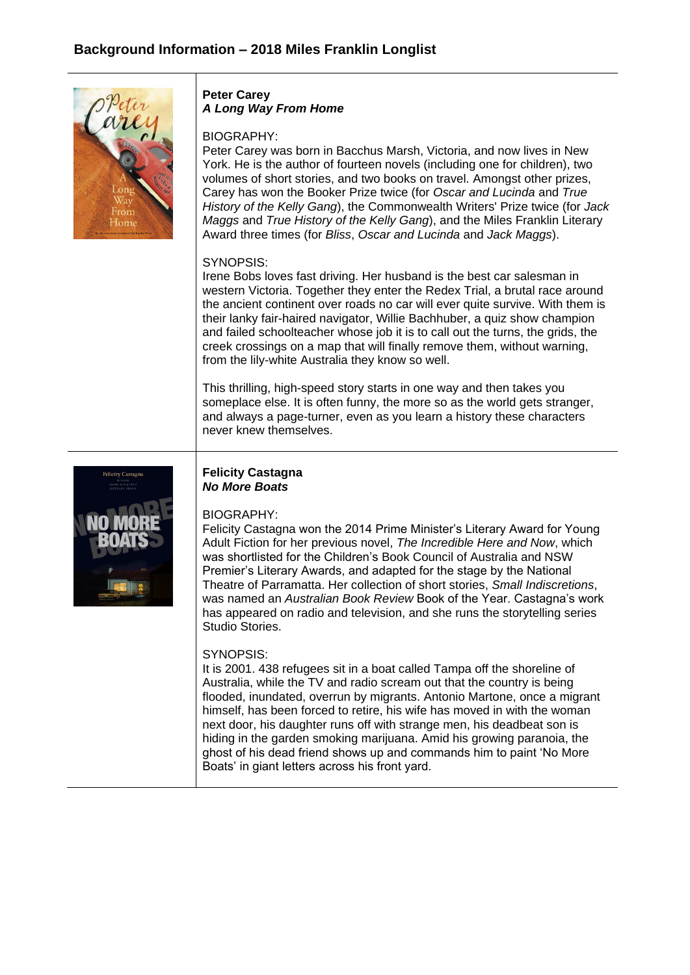

### **Peter Carey** *A Long Way From Home*

#### BIOGRAPHY:

Peter Carey was born in Bacchus Marsh, Victoria, and now lives in New York. He is the author of fourteen novels (including one for children), two volumes of short stories, and two books on travel. Amongst other prizes, Carey has won the Booker Prize twice (for *Oscar and Lucinda* and *True History of the Kelly Gang*), the Commonwealth Writers' Prize twice (for *Jack Maggs* and *True History of the Kelly Gang*), and the Miles Franklin Literary Award three times (for *Bliss*, *Oscar and Lucinda* and *Jack Maggs*).

### SYNOPSIS:

Irene Bobs loves fast driving. Her husband is the best car salesman in western Victoria. Together they enter the Redex Trial, a brutal race around the ancient continent over roads no car will ever quite survive. With them is their lanky fair-haired navigator, Willie Bachhuber, a quiz show champion and failed schoolteacher whose job it is to call out the turns, the grids, the creek crossings on a map that will finally remove them, without warning, from the lily-white Australia they know so well.

This thrilling, high-speed story starts in one way and then takes you someplace else. It is often funny, the more so as the world gets stranger, and always a page-turner, even as you learn a history these characters never knew themselves.



### **Felicity Castagna**  *No More Boats*

## BIOGRAPHY:

Felicity Castagna won the 2014 Prime Minister's Literary Award for Young Adult Fiction for her previous novel, *The Incredible Here and Now*, which was shortlisted for the Children's Book Council of Australia and NSW Premier's Literary Awards, and adapted for the stage by the National Theatre of Parramatta. Her collection of short stories, *Small Indiscretions*, was named an *Australian Book Review* Book of the Year. Castagna's work has appeared on radio and television, and she runs the storytelling series Studio Stories.

## SYNOPSIS:

It is 2001. 438 refugees sit in a boat called Tampa off the shoreline of Australia, while the TV and radio scream out that the country is being flooded, inundated, overrun by migrants. Antonio Martone, once a migrant himself, has been forced to retire, his wife has moved in with the woman next door, his daughter runs off with strange men, his deadbeat son is hiding in the garden smoking marijuana. Amid his growing paranoia, the ghost of his dead friend shows up and commands him to paint 'No More Boats' in giant letters across his front yard.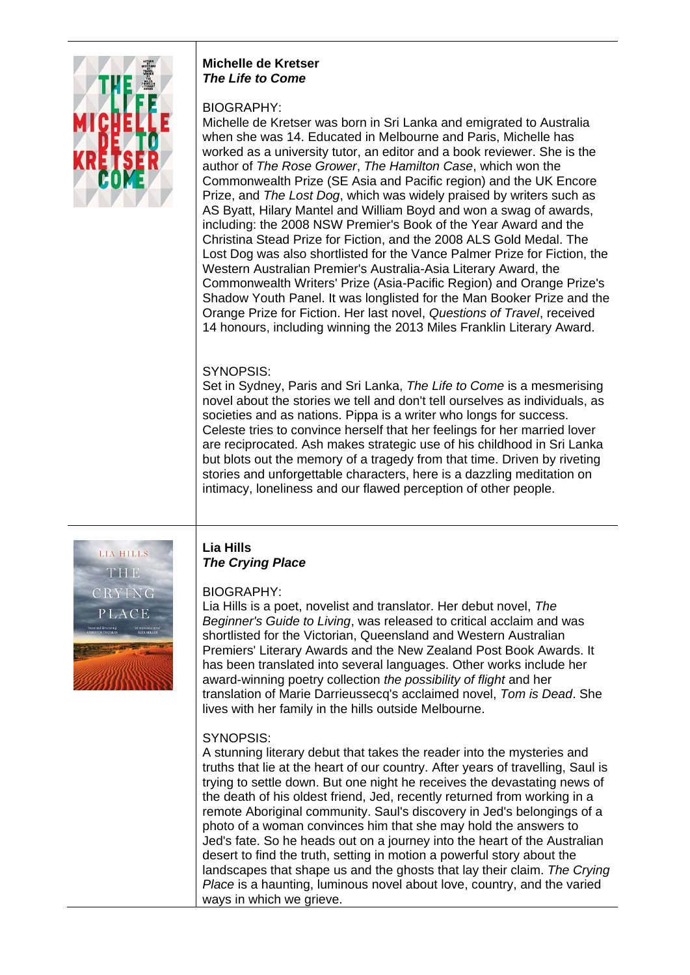

#### **Michelle de Kretser**  *The Life to Come*

# BIOGRAPHY:

Michelle de Kretser was born in Sri Lanka and emigrated to Australia when she was 14. Educated in Melbourne and Paris, Michelle has worked as a university tutor, an editor and a book reviewer. She is the author of *The Rose Grower*, *The Hamilton Case*, which won the Commonwealth Prize (SE Asia and Pacific region) and the UK Encore Prize, and *The Lost Dog*, which was widely praised by writers such as AS Byatt, Hilary Mantel and William Boyd and won a swag of awards, including: the 2008 NSW Premier's Book of the Year Award and the Christina Stead Prize for Fiction, and the 2008 ALS Gold Medal. The Lost Dog was also shortlisted for the Vance Palmer Prize for Fiction, the Western Australian Premier's Australia-Asia Literary Award, the Commonwealth Writers' Prize (Asia-Pacific Region) and Orange Prize's Shadow Youth Panel. It was longlisted for the Man Booker Prize and the Orange Prize for Fiction. Her last novel, *Questions of Travel*, received 14 honours, including winning the 2013 Miles Franklin Literary Award.

# SYNOPSIS:

Set in Sydney, Paris and Sri Lanka, *The Life to Come* is a mesmerising novel about the stories we tell and don't tell ourselves as individuals, as societies and as nations. Pippa is a writer who longs for success. Celeste tries to convince herself that her feelings for her married lover are reciprocated. Ash makes strategic use of his childhood in Sri Lanka but blots out the memory of a tragedy from that time. Driven by riveting stories and unforgettable characters, here is a dazzling meditation on intimacy, loneliness and our flawed perception of other people.



# **Lia Hills**  *The Crying Place*

# BIOGRAPHY:

Lia Hills is a poet, novelist and translator. Her debut novel, *The Beginner's Guide to Living*, was released to critical acclaim and was shortlisted for the Victorian, Queensland and Western Australian Premiers' Literary Awards and the New Zealand Post Book Awards. It has been translated into several languages. Other works include her award-winning poetry collection *the possibility of flight* and her translation of Marie Darrieussecq's acclaimed novel, *Tom is Dead*. She lives with her family in the hills outside Melbourne.

# SYNOPSIS:

A stunning literary debut that takes the reader into the mysteries and truths that lie at the heart of our country. After years of travelling, Saul is trying to settle down. But one night he receives the devastating news of the death of his oldest friend, Jed, recently returned from working in a remote Aboriginal community. Saul's discovery in Jed's belongings of a photo of a woman convinces him that she may hold the answers to Jed's fate. So he heads out on a journey into the heart of the Australian desert to find the truth, setting in motion a powerful story about the landscapes that shape us and the ghosts that lay their claim. *The Crying Place* is a haunting, luminous novel about love, country, and the varied ways in which we grieve.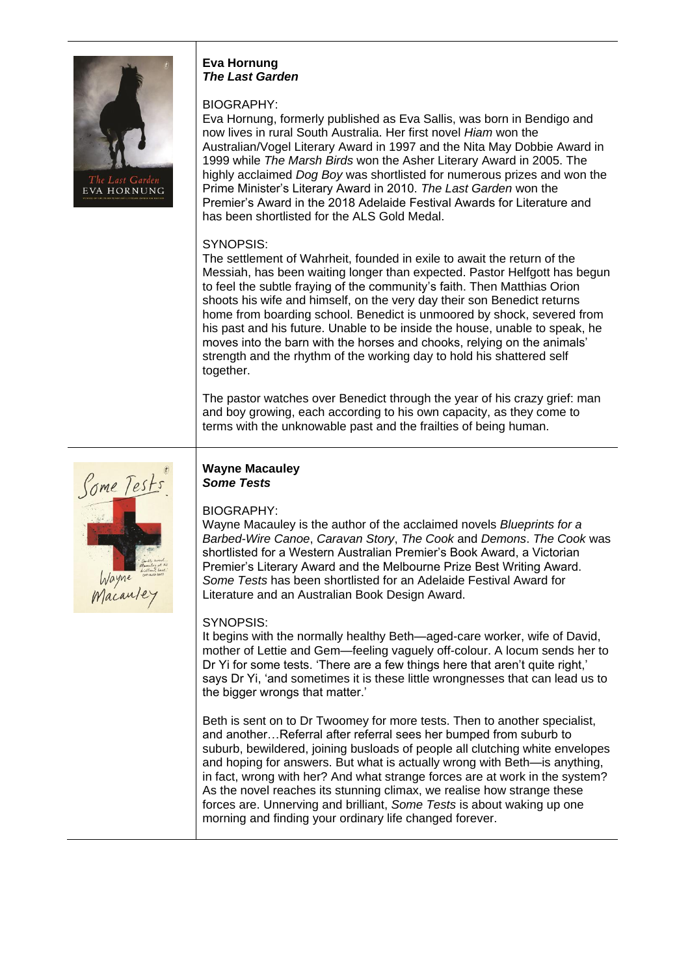

#### **Eva Hornung** *The Last Garden*

# BIOGRAPHY:

Eva Hornung, formerly published as Eva Sallis, was born in Bendigo and now lives in rural South Australia. Her first novel *Hiam* won the Australian/Vogel Literary Award in 1997 and the Nita May Dobbie Award in 1999 while *The Marsh Birds* won the Asher Literary Award in 2005. The highly acclaimed *Dog Boy* was shortlisted for numerous prizes and won the Prime Minister's Literary Award in 2010. *The Last Garden* won the Premier's Award in the 2018 Adelaide Festival Awards for Literature and has been shortlisted for the ALS Gold Medal.

# SYNOPSIS:

The settlement of Wahrheit, founded in exile to await the return of the Messiah, has been waiting longer than expected. Pastor Helfgott has begun to feel the subtle fraying of the community's faith. Then Matthias Orion shoots his wife and himself, on the very day their son Benedict returns home from boarding school. Benedict is unmoored by shock, severed from his past and his future. Unable to be inside the house, unable to speak, he moves into the barn with the horses and chooks, relying on the animals' strength and the rhythm of the working day to hold his shattered self together.

The pastor watches over Benedict through the year of his crazy grief: man and boy growing, each according to his own capacity, as they come to terms with the unknowable past and the frailties of being human.



### **Wayne Macauley** *Some Tests*

# BIOGRAPHY:

Wayne Macauley is the author of the acclaimed novels *Blueprints for a Barbed-Wire Canoe*, *Caravan Story*, *The Cook* and *Demons*. *The Cook* was shortlisted for a Western Australian Premier's Book Award, a Victorian Premier's Literary Award and the Melbourne Prize Best Writing Award. *Some Tests* has been shortlisted for an Adelaide Festival Award for Literature and an Australian Book Design Award.

# SYNOPSIS:

It begins with the normally healthy Beth—aged-care worker, wife of David, mother of Lettie and Gem—feeling vaguely off-colour. A locum sends her to Dr Yi for some tests. 'There are a few things here that aren't quite right,' says Dr Yi, 'and sometimes it is these little wrongnesses that can lead us to the bigger wrongs that matter.'

Beth is sent on to Dr Twoomey for more tests. Then to another specialist, and another…Referral after referral sees her bumped from suburb to suburb, bewildered, joining busloads of people all clutching white envelopes and hoping for answers. But what is actually wrong with Beth—is anything, in fact, wrong with her? And what strange forces are at work in the system? As the novel reaches its stunning climax, we realise how strange these forces are. Unnerving and brilliant, *Some Tests* is about waking up one morning and finding your ordinary life changed forever.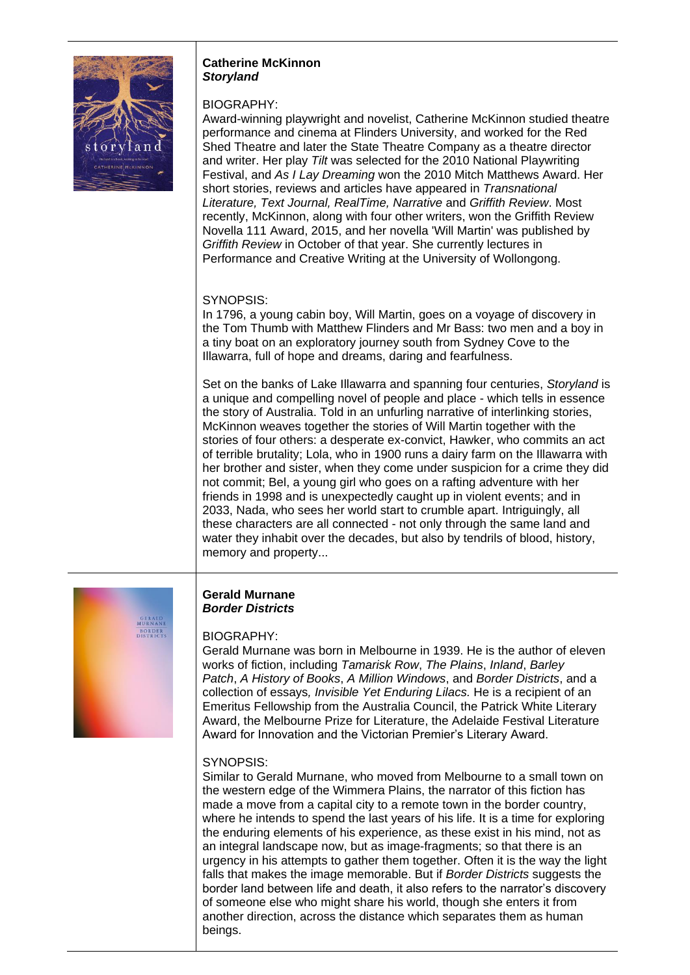

#### **Catherine McKinnon** *Storyland*

## BIOGRAPHY:

Award-winning playwright and novelist, Catherine McKinnon studied theatre performance and cinema at Flinders University, and worked for the Red Shed Theatre and later the State Theatre Company as a theatre director and writer. Her play *Tilt* was selected for the 2010 National Playwriting Festival, and *As I Lay Dreaming* won the 2010 Mitch Matthews Award. Her short stories, reviews and articles have appeared in *Transnational Literature, Text Journal, RealTime, Narrative* and *Griffith Review*. Most recently, McKinnon, along with four other writers, won the Griffith Review Novella 111 Award, 2015, and her novella 'Will Martin' was published by *Griffith Review* in October of that year. She currently lectures in Performance and Creative Writing at the University of Wollongong.

# SYNOPSIS:

In 1796, a young cabin boy, Will Martin, goes on a voyage of discovery in the Tom Thumb with Matthew Flinders and Mr Bass: two men and a boy in a tiny boat on an exploratory journey south from Sydney Cove to the Illawarra, full of hope and dreams, daring and fearfulness.

Set on the banks of Lake Illawarra and spanning four centuries, *Storyland* is a unique and compelling novel of people and place - which tells in essence the story of Australia. Told in an unfurling narrative of interlinking stories, McKinnon weaves together the stories of Will Martin together with the stories of four others: a desperate ex-convict, Hawker, who commits an act of terrible brutality; Lola, who in 1900 runs a dairy farm on the Illawarra with her brother and sister, when they come under suspicion for a crime they did not commit; Bel, a young girl who goes on a rafting adventure with her friends in 1998 and is unexpectedly caught up in violent events; and in 2033, Nada, who sees her world start to crumble apart. Intriguingly, all these characters are all connected - not only through the same land and water they inhabit over the decades, but also by tendrils of blood, history, memory and property...

GERALD<br>JURNANE **BORDER**<br>DISTRICTS

### **Gerald Murnane** *Border Districts*

## BIOGRAPHY:

Gerald Murnane was born in Melbourne in 1939. He is the author of eleven works of fiction, including *Tamarisk Row*, *The Plains*, *Inland*, *Barley Patch*, *A History of Books*, *A Million Windows*, and *Border Districts*, and a collection of essays*, Invisible Yet Enduring Lilacs.* He is a recipient of an Emeritus Fellowship from the Australia Council, the Patrick White Literary Award, the Melbourne Prize for Literature, the Adelaide Festival Literature Award for Innovation and the Victorian Premier's Literary Award.

# SYNOPSIS:

Similar to Gerald Murnane, who moved from Melbourne to a small town on the western edge of the Wimmera Plains, the narrator of this fiction has made a move from a capital city to a remote town in the border country, where he intends to spend the last years of his life. It is a time for exploring the enduring elements of his experience, as these exist in his mind, not as an integral landscape now, but as image-fragments; so that there is an urgency in his attempts to gather them together. Often it is the way the light falls that makes the image memorable. But if *Border Districts* suggests the border land between life and death, it also refers to the narrator's discovery of someone else who might share his world, though she enters it from another direction, across the distance which separates them as human beings.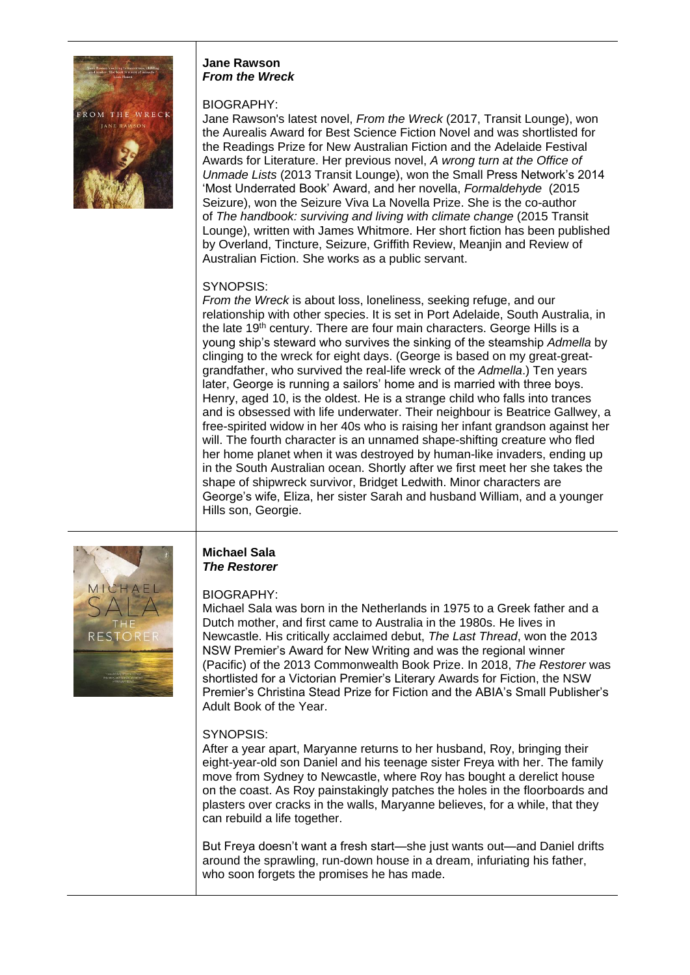

#### **Jane Rawson**  *From the Wreck*

### BIOGRAPHY:

Jane Rawson's latest novel, *From the Wreck* (2017, Transit Lounge), won the Aurealis Award for Best Science Fiction Novel and was shortlisted for the Readings Prize for New Australian Fiction and the Adelaide Festival Awards for Literature. Her previous novel, *A wrong turn at the Office of Unmade Lists* (2013 Transit Lounge), won the Small Press Network's 2014 'Most Underrated Book' Award, and her novella, *Formaldehyde* (2015 Seizure), won the Seizure Viva La Novella Prize. She is the co-author of *The handbook: surviving and living with climate change* (2015 Transit Lounge), written with James Whitmore. Her short fiction has been published by Overland, Tincture, Seizure, Griffith Review, Meanjin and Review of Australian Fiction. She works as a public servant.

# SYNOPSIS:

*From the Wreck* is about loss, loneliness, seeking refuge, and our relationship with other species. It is set in Port Adelaide, South Australia, in the late 19th century. There are four main characters. George Hills is a young ship's steward who survives the sinking of the steamship *Admella* by clinging to the wreck for eight days. (George is based on my great-greatgrandfather, who survived the real-life wreck of the *Admella*.) Ten years later, George is running a sailors' home and is married with three boys. Henry, aged 10, is the oldest. He is a strange child who falls into trances and is obsessed with life underwater. Their neighbour is Beatrice Gallwey, a free-spirited widow in her 40s who is raising her infant grandson against her will. The fourth character is an unnamed shape-shifting creature who fled her home planet when it was destroyed by human-like invaders, ending up in the South Australian ocean. Shortly after we first meet her she takes the shape of shipwreck survivor, Bridget Ledwith. Minor characters are George's wife, Eliza, her sister Sarah and husband William, and a younger Hills son, Georgie.



#### **Michael Sala**  *The Restorer*

# BIOGRAPHY:

Michael Sala was born in the Netherlands in 1975 to a Greek father and a Dutch mother, and first came to Australia in the 1980s. He lives in Newcastle. His critically acclaimed debut, *The Last Thread*, won the 2013 NSW Premier's Award for New Writing and was the regional winner (Pacific) of the 2013 Commonwealth Book Prize. In 2018, *The Restorer* was shortlisted for a Victorian Premier's Literary Awards for Fiction, the NSW Premier's Christina Stead Prize for Fiction and the ABIA's Small Publisher's Adult Book of the Year.

## SYNOPSIS:

After a year apart, Maryanne returns to her husband, Roy, bringing their eight-year-old son Daniel and his teenage sister Freya with her. The family move from Sydney to Newcastle, where Roy has bought a derelict house on the coast. As Roy painstakingly patches the holes in the floorboards and plasters over cracks in the walls, Maryanne believes, for a while, that they can rebuild a life together.

But Freya doesn't want a fresh start—she just wants out—and Daniel drifts around the sprawling, run-down house in a dream, infuriating his father, who soon forgets the promises he has made.